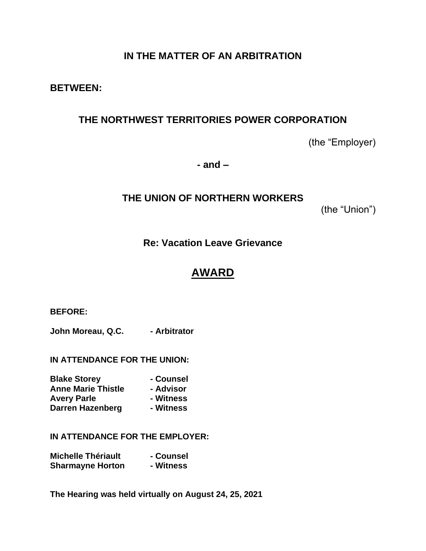# **IN THE MATTER OF AN ARBITRATION**

## **BETWEEN:**

# **THE NORTHWEST TERRITORIES POWER CORPORATION**

(the "Employer)

**- and –**

# **THE UNION OF NORTHERN WORKERS**

(the "Union")

# **Re: Vacation Leave Grievance**

# **AWARD**

**BEFORE:**

**John Moreau, Q.C.** - Arbitrator

**IN ATTENDANCE FOR THE UNION:**

| <b>Blake Storey</b>       | - Counsel |
|---------------------------|-----------|
| <b>Anne Marie Thistle</b> | - Advisor |
| <b>Avery Parle</b>        | - Witness |
| Darren Hazenberg          | - Witness |

**IN ATTENDANCE FOR THE EMPLOYER:**

| <b>Michelle Thériault</b> | - Counsel |
|---------------------------|-----------|
| <b>Sharmayne Horton</b>   | - Witness |

**The Hearing was held virtually on August 24, 25, 2021**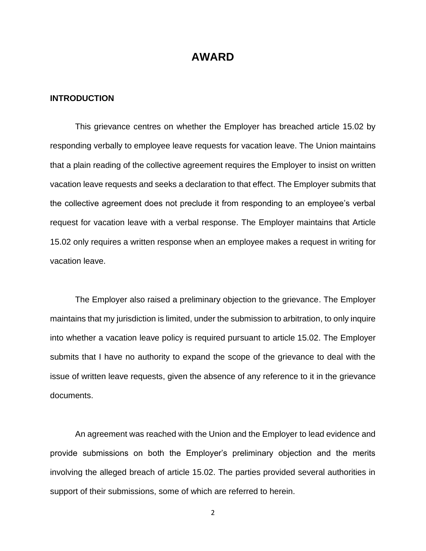## **AWARD**

### **INTRODUCTION**

This grievance centres on whether the Employer has breached article 15.02 by responding verbally to employee leave requests for vacation leave. The Union maintains that a plain reading of the collective agreement requires the Employer to insist on written vacation leave requests and seeks a declaration to that effect. The Employer submits that the collective agreement does not preclude it from responding to an employee's verbal request for vacation leave with a verbal response. The Employer maintains that Article 15.02 only requires a written response when an employee makes a request in writing for vacation leave.

The Employer also raised a preliminary objection to the grievance. The Employer maintains that my jurisdiction is limited, under the submission to arbitration, to only inquire into whether a vacation leave policy is required pursuant to article 15.02. The Employer submits that I have no authority to expand the scope of the grievance to deal with the issue of written leave requests, given the absence of any reference to it in the grievance documents.

An agreement was reached with the Union and the Employer to lead evidence and provide submissions on both the Employer's preliminary objection and the merits involving the alleged breach of article 15.02. The parties provided several authorities in support of their submissions, some of which are referred to herein.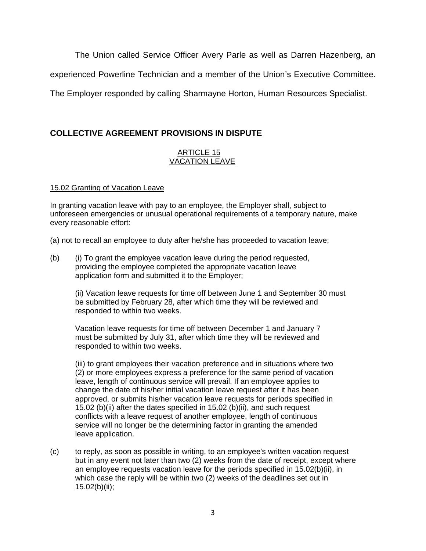The Union called Service Officer Avery Parle as well as Darren Hazenberg, an

experienced Powerline Technician and a member of the Union's Executive Committee.

The Employer responded by calling Sharmayne Horton, Human Resources Specialist.

## **COLLECTIVE AGREEMENT PROVISIONS IN DISPUTE**

## ARTICLE 15 VACATION LEAVE

## 15.02 Granting of Vacation Leave

In granting vacation leave with pay to an employee, the Employer shall, subject to unforeseen emergencies or unusual operational requirements of a temporary nature, make every reasonable effort:

(a) not to recall an employee to duty after he/she has proceeded to vacation leave;

(b) (i) To grant the employee vacation leave during the period requested, providing the employee completed the appropriate vacation leave application form and submitted it to the Employer;

(ii) Vacation leave requests for time off between June 1 and September 30 must be submitted by February 28, after which time they will be reviewed and responded to within two weeks.

Vacation leave requests for time off between December 1 and January 7 must be submitted by July 31, after which time they will be reviewed and responded to within two weeks.

(iii) to grant employees their vacation preference and in situations where two (2) or more employees express a preference for the same period of vacation leave, length of continuous service will prevail. If an employee applies to change the date of his/her initial vacation leave request after it has been approved, or submits his/her vacation leave requests for periods specified in 15.02 (b)(ii) after the dates specified in 15.02 (b)(ii), and such request conflicts with a leave request of another employee, length of continuous service will no longer be the determining factor in granting the amended leave application.

(c) to reply, as soon as possible in writing, to an employee's written vacation request but in any event not later than two (2) weeks from the date of receipt, except where an employee requests vacation leave for the periods specified in 15.02(b)(ii), in which case the reply will be within two (2) weeks of the deadlines set out in 15.02(b)(ii);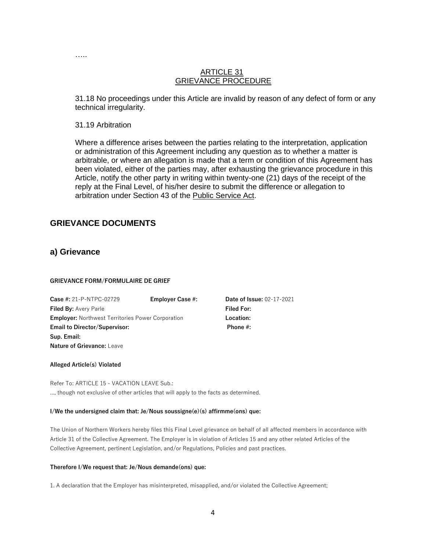### ARTICLE 31 GRIEVANCE PROCEDURE

31.18 No proceedings under this Article are invalid by reason of any defect of form or any technical irregularity.

31.19 Arbitration

……

Where a difference arises between the parties relating to the interpretation, application or administration of this Agreement including any question as to whether a matter is arbitrable, or where an allegation is made that a term or condition of this Agreement has been violated, either of the parties may, after exhausting the grievance procedure in this Article, notify the other party in writing within twenty-one (21) days of the receipt of the reply at the Final Level, of his/her desire to submit the difference or allegation to arbitration under Section 43 of the Public Service Act.

## **GRIEVANCE DOCUMENTS**

## **a) Grievance**

#### **GRIEVANCE FORM/FORMULAIRE DE GRIEF**

| <b>Case #: 21-P-NTPC-02729</b>                           | <b>Employer Case #:</b> | <b>Date of Issue: 02-17-2021</b> |
|----------------------------------------------------------|-------------------------|----------------------------------|
| <b>Filed By: Avery Parle</b>                             |                         | <b>Filed For:</b>                |
| <b>Employer:</b> Northwest Territories Power Corporation |                         | Location:                        |
| <b>Email to Director/Supervisor:</b>                     |                         | Phone $#$ :                      |
| Sup. Email:                                              |                         |                                  |
| <b>Nature of Grievance:</b> Leave                        |                         |                                  |

#### **Alleged Article(s) Violated**

Refer To: ARTICLE 15 - VACATION LEAVE Sub.: ..., though not exclusive of other articles that will apply to the facts as determined.

#### **I/We the undersigned claim that: Je/Nous soussigne(e)(s) affirmme(ons) que:**

The Union of Northern Workers hereby files this Final Level grievance on behalf of all affected members in accordance with Article 31 of the Collective Agreement. The Employer is in violation of Articles 15 and any other related Articles of the Collective Agreement, pertinent Legislation, and/or Regulations, Policies and past practices.

#### **Therefore I/We request that: Je/Nous demande(ons) que:**

1. A declaration that the Employer has misinterpreted, misapplied, and/or violated the Collective Agreement;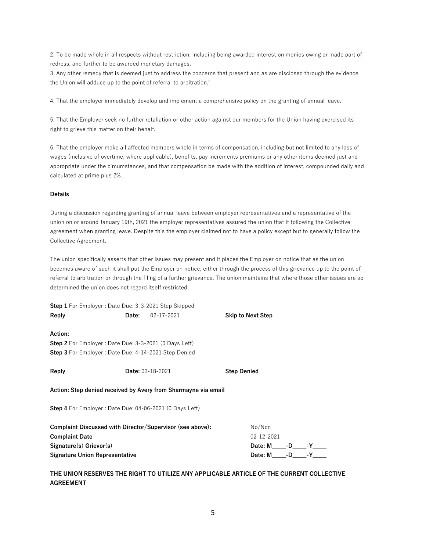2. To be made whole in all respects without restriction, including being awarded interest on monies owing or made part of redress, and further to be awarded monetary damages.

3. Any other remedy that is deemed just to address the concerns that present and as are disclosed through the evidence the Union will adduce up to the point of referral to arbitration."

4. That the employer immediately develop and implement a comprehensive policy on the granting of annual leave.

5. That the Employer seek no further retaliation or other action against our members for the Union having exercised its right to grieve this matter on their behalf.

6. That the employer make all affected members whole in terms of compensation, including but not limited to any loss of wages (inclusive of overtime, where applicable), benefits, pay increments premiums or any other items deemed just and appropriate under the circumstances, and that compensation be made with the addition of interest, compounded daily and calculated at prime plus 2%.

#### **Details**

During a discussion regarding granting of annual leave between employer representatives and a representative of the union on or around January 19th, 2021 the employer representatives assured the union that it following the Collective agreement when granting leave. Despite this the employer claimed not to have a policy except but to generally follow the Collective Agreement.

The union specifically asserts that other issues may present and it places the Employer on notice that as the union becomes aware of such it shall put the Employer on notice, either through the process of this grievance up to the point of referral to arbitration or through the filing of a further grievance. The union maintains that where those other issues are so determined the union does not regard itself restricted.

**Step 1** For Employer : Date Due: 3-3-2021 Step Skipped **Reply Date:** 02-17-2021 **Skip to Next Step Action: Step 2** For Employer : Date Due: 3-3-2021 (0 Days Left) **Step 3** For Employer : Date Due: 4-14-2021 Step Denied **Reply Date:** 03-18-2021 **Step Denied Action: Step denied received by Avery from Sharmayne via email Step 4** For Employer : Date Due: 04-06-2021 (0 Days Left) **Complaint Discussed with Director/Supervisor (see above):** No/Non **Complaint Date** 02-12-2021 **Signature(s) Grievor(s) Date: M\_\_\_\_\_-D\_\_\_\_\_-Y\_\_\_\_\_** Signature Union Representative **Date: M\_\_\_\_-D\_\_\_\_-Y\_\_** 

**THE UNION RESERVES THE RIGHT TO UTILIZE ANY APPLICABLE ARTICLE OF THE CURRENT COLLECTIVE AGREEMENT**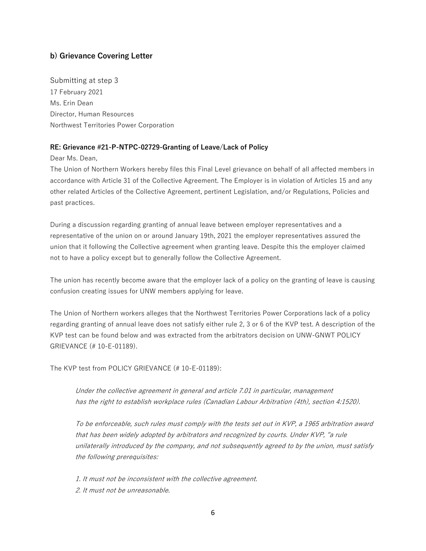## **b) Grievance Covering Letter**

Submitting at step 3 17 February 2021 Ms. Erin Dean Director, Human Resources Northwest Territories Power Corporation

### **RE: Grievance #21-P-NTPC-02729-Granting of Leave/Lack of Policy**

Dear Ms. Dean,

The Union of Northern Workers hereby files this Final Level grievance on behalf of all affected members in accordance with Article 31 of the Collective Agreement. The Employer is in violation of Articles 15 and any other related Articles of the Collective Agreement, pertinent Legislation, and/or Regulations, Policies and past practices.

During a discussion regarding granting of annual leave between employer representatives and a representative of the union on or around January 19th, 2021 the employer representatives assured the union that it following the Collective agreement when granting leave. Despite this the employer claimed not to have a policy except but to generally follow the Collective Agreement.

The union has recently become aware that the employer lack of a policy on the granting of leave is causing confusion creating issues for UNW members applying for leave.

The Union of Northern workers alleges that the Northwest Territories Power Corporations lack of a policy regarding granting of annual leave does not satisfy either rule 2, 3 or 6 of the KVP test. A description of the KVP test can be found below and was extracted from the arbitrators decision on UNW-GNWT POLICY GRIEVANCE (# 10-E-01189).

The KVP test from POLICY GRIEVANCE (# 10-E-01189):

Under the collective agreement in general and article 7.01 in particular, management has the right to establish workplace rules (Canadian Labour Arbitration (4th), section 4:1520).

To be enforceable, such rules must comply with the tests set out in KVP, a 1965 arbitration award that has been widely adopted by arbitrators and recognized by courts. Under KVP, "a rule unilaterally introduced by the company, and not subsequently agreed to by the union, must satisfy the following prerequisites:

1. It must not be inconsistent with the collective agreement. 2. It must not be unreasonable.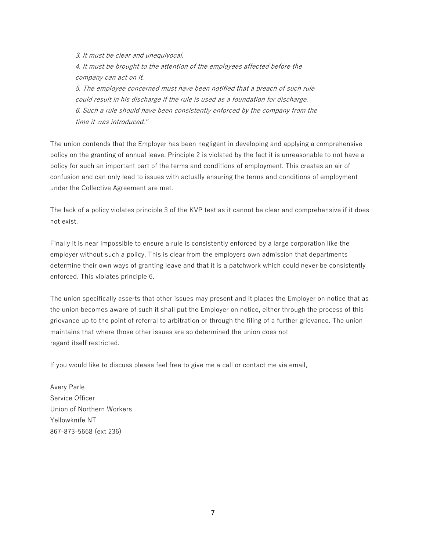3. It must be clear and unequivocal. 4. It must be brought to the attention of the employees affected before the company can act on it. 5. The employee concerned must have been notified that a breach of such rule could result in his discharge if the rule is used as a foundation for discharge. 6. Such a rule should have been consistently enforced by the company from the time it was introduced."

The union contends that the Employer has been negligent in developing and applying a comprehensive policy on the granting of annual leave. Principle 2 is violated by the fact it is unreasonable to not have a policy for such an important part of the terms and conditions of employment. This creates an air of confusion and can only lead to issues with actually ensuring the terms and conditions of employment under the Collective Agreement are met.

The lack of a policy violates principle 3 of the KVP test as it cannot be clear and comprehensive if it does not exist.

Finally it is near impossible to ensure a rule is consistently enforced by a large corporation like the employer without such a policy. This is clear from the employers own admission that departments determine their own ways of granting leave and that it is a patchwork which could never be consistently enforced. This violates principle 6.

The union specifically asserts that other issues may present and it places the Employer on notice that as the union becomes aware of such it shall put the Employer on notice, either through the process of this grievance up to the point of referral to arbitration or through the filing of a further grievance. The union maintains that where those other issues are so determined the union does not regard itself restricted.

If you would like to discuss please feel free to give me a call or contact me via email,

Avery Parle Service Officer Union of Northern Workers Yellowknife NT 867-873-5668 (ext 236)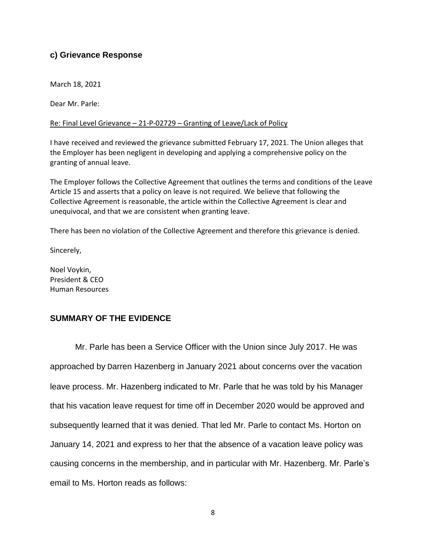## **c) Grievance Response**

March 18, 2021

Dear Mr. Parle:

## Re: Final Level Grievance – 21-P-02729 – Granting of Leave/Lack of Policy

I have received and reviewed the grievance submitted February 17, 2021. The Union alleges that the Employer has been negligent in developing and applying a comprehensive policy on the granting of annual leave.

The Employer follows the Collective Agreement that outlines the terms and conditions of the Leave Article 15 and asserts that a policy on leave is not required. We believe that following the Collective Agreement is reasonable, the article within the Collective Agreement is clear and unequivocal, and that we are consistent when granting leave.

There has been no violation of the Collective Agreement and therefore this grievance is denied.

Sincerely,

Noel Voykin, President & CEO Human Resources

## **SUMMARY OF THE EVIDENCE**

Mr. Parle has been a Service Officer with the Union since July 2017. He was approached by Darren Hazenberg in January 2021 about concerns over the vacation leave process. Mr. Hazenberg indicated to Mr. Parle that he was told by his Manager that his vacation leave request for time off in December 2020 would be approved and subsequently learned that it was denied. That led Mr. Parle to contact Ms. Horton on January 14, 2021 and express to her that the absence of a vacation leave policy was causing concerns in the membership, and in particular with Mr. Hazenberg. Mr. Parle's email to Ms. Horton reads as follows: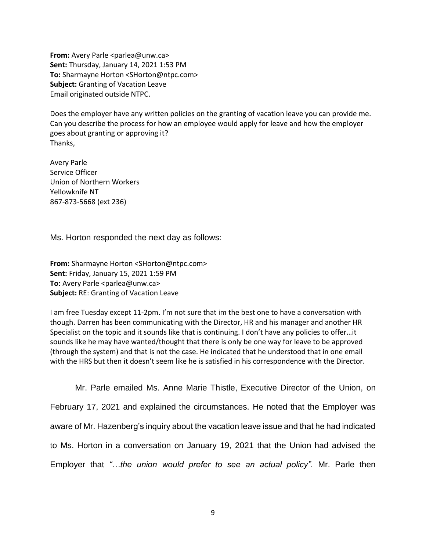**From:** Avery Parle <parlea@unw.ca> **Sent:** Thursday, January 14, 2021 1:53 PM **To:** Sharmayne Horton <SHorton@ntpc.com> **Subject:** Granting of Vacation Leave Email originated outside NTPC.

Does the employer have any written policies on the granting of vacation leave you can provide me. Can you describe the process for how an employee would apply for leave and how the employer goes about granting or approving it? Thanks,

Avery Parle Service Officer Union of Northern Workers Yellowknife NT 867-873-5668 (ext 236)

Ms. Horton responded the next day as follows:

**From:** Sharmayne Horton <SHorton@ntpc.com> **Sent:** Friday, January 15, 2021 1:59 PM **To: Avery Parle <parlea@unw.ca> Subject:** RE: Granting of Vacation Leave

I am free Tuesday except 11-2pm. I'm not sure that im the best one to have a conversation with though. Darren has been communicating with the Director, HR and his manager and another HR Specialist on the topic and it sounds like that is continuing. I don't have any policies to offer…it sounds like he may have wanted/thought that there is only be one way for leave to be approved (through the system) and that is not the case. He indicated that he understood that in one email with the HRS but then it doesn't seem like he is satisfied in his correspondence with the Director.

Mr. Parle emailed Ms. Anne Marie Thistle, Executive Director of the Union, on February 17, 2021 and explained the circumstances. He noted that the Employer was aware of Mr. Hazenberg's inquiry about the vacation leave issue and that he had indicated to Ms. Horton in a conversation on January 19, 2021 that the Union had advised the Employer that *"…the union would prefer to see an actual policy".* Mr. Parle then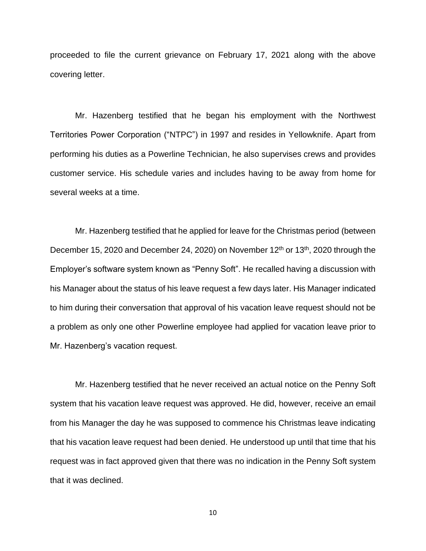proceeded to file the current grievance on February 17, 2021 along with the above covering letter.

Mr. Hazenberg testified that he began his employment with the Northwest Territories Power Corporation ("NTPC") in 1997 and resides in Yellowknife. Apart from performing his duties as a Powerline Technician, he also supervises crews and provides customer service. His schedule varies and includes having to be away from home for several weeks at a time.

Mr. Hazenberg testified that he applied for leave for the Christmas period (between December 15, 2020 and December 24, 2020) on November 12<sup>th</sup> or 13<sup>th</sup>, 2020 through the Employer's software system known as "Penny Soft". He recalled having a discussion with his Manager about the status of his leave request a few days later. His Manager indicated to him during their conversation that approval of his vacation leave request should not be a problem as only one other Powerline employee had applied for vacation leave prior to Mr. Hazenberg's vacation request.

Mr. Hazenberg testified that he never received an actual notice on the Penny Soft system that his vacation leave request was approved. He did, however, receive an email from his Manager the day he was supposed to commence his Christmas leave indicating that his vacation leave request had been denied. He understood up until that time that his request was in fact approved given that there was no indication in the Penny Soft system that it was declined.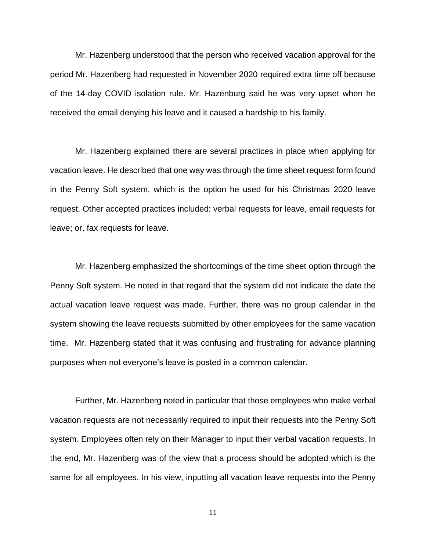Mr. Hazenberg understood that the person who received vacation approval for the period Mr. Hazenberg had requested in November 2020 required extra time off because of the 14-day COVID isolation rule. Mr. Hazenburg said he was very upset when he received the email denying his leave and it caused a hardship to his family.

Mr. Hazenberg explained there are several practices in place when applying for vacation leave. He described that one way was through the time sheet request form found in the Penny Soft system, which is the option he used for his Christmas 2020 leave request. Other accepted practices included: verbal requests for leave, email requests for leave; or, fax requests for leave.

Mr. Hazenberg emphasized the shortcomings of the time sheet option through the Penny Soft system. He noted in that regard that the system did not indicate the date the actual vacation leave request was made. Further, there was no group calendar in the system showing the leave requests submitted by other employees for the same vacation time. Mr. Hazenberg stated that it was confusing and frustrating for advance planning purposes when not everyone's leave is posted in a common calendar.

Further, Mr. Hazenberg noted in particular that those employees who make verbal vacation requests are not necessarily required to input their requests into the Penny Soft system. Employees often rely on their Manager to input their verbal vacation requests. In the end, Mr. Hazenberg was of the view that a process should be adopted which is the same for all employees. In his view, inputting all vacation leave requests into the Penny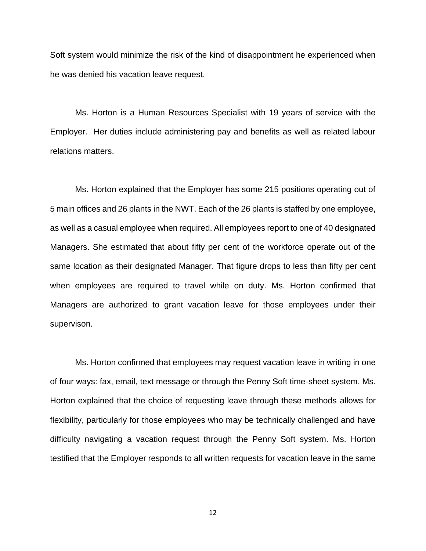Soft system would minimize the risk of the kind of disappointment he experienced when he was denied his vacation leave request.

Ms. Horton is a Human Resources Specialist with 19 years of service with the Employer. Her duties include administering pay and benefits as well as related labour relations matters.

Ms. Horton explained that the Employer has some 215 positions operating out of 5 main offices and 26 plants in the NWT. Each of the 26 plants is staffed by one employee, as well as a casual employee when required. All employees report to one of 40 designated Managers. She estimated that about fifty per cent of the workforce operate out of the same location as their designated Manager. That figure drops to less than fifty per cent when employees are required to travel while on duty. Ms. Horton confirmed that Managers are authorized to grant vacation leave for those employees under their supervison.

Ms. Horton confirmed that employees may request vacation leave in writing in one of four ways: fax, email, text message or through the Penny Soft time-sheet system. Ms. Horton explained that the choice of requesting leave through these methods allows for flexibility, particularly for those employees who may be technically challenged and have difficulty navigating a vacation request through the Penny Soft system. Ms. Horton testified that the Employer responds to all written requests for vacation leave in the same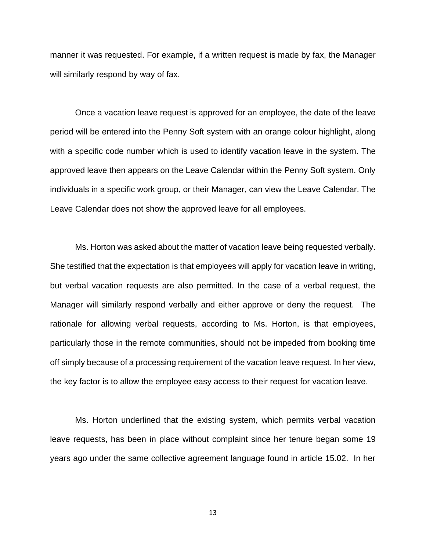manner it was requested. For example, if a written request is made by fax, the Manager will similarly respond by way of fax.

Once a vacation leave request is approved for an employee, the date of the leave period will be entered into the Penny Soft system with an orange colour highlight, along with a specific code number which is used to identify vacation leave in the system. The approved leave then appears on the Leave Calendar within the Penny Soft system. Only individuals in a specific work group, or their Manager, can view the Leave Calendar. The Leave Calendar does not show the approved leave for all employees.

Ms. Horton was asked about the matter of vacation leave being requested verbally. She testified that the expectation is that employees will apply for vacation leave in writing, but verbal vacation requests are also permitted. In the case of a verbal request, the Manager will similarly respond verbally and either approve or deny the request. The rationale for allowing verbal requests, according to Ms. Horton, is that employees, particularly those in the remote communities, should not be impeded from booking time off simply because of a processing requirement of the vacation leave request. In her view, the key factor is to allow the employee easy access to their request for vacation leave.

Ms. Horton underlined that the existing system, which permits verbal vacation leave requests, has been in place without complaint since her tenure began some 19 years ago under the same collective agreement language found in article 15.02. In her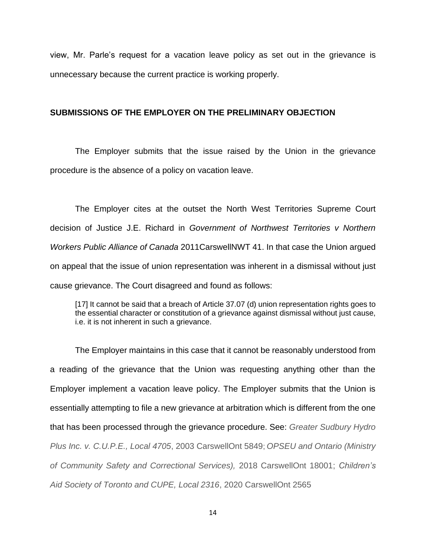view, Mr. Parle's request for a vacation leave policy as set out in the grievance is unnecessary because the current practice is working properly.

## **SUBMISSIONS OF THE EMPLOYER ON THE PRELIMINARY OBJECTION**

The Employer submits that the issue raised by the Union in the grievance procedure is the absence of a policy on vacation leave.

The Employer cites at the outset the North West Territories Supreme Court decision of Justice J.E. Richard in *Government of Northwest Territories v Northern Workers Public Alliance of Canada* 2011CarswellNWT 41. In that case the Union argued on appeal that the issue of union representation was inherent in a dismissal without just cause grievance. The Court disagreed and found as follows:

[17] It cannot be said that a breach of Article 37.07 (d) union representation rights goes to the essential character or constitution of a grievance against dismissal without just cause, i.e. it is not inherent in such a grievance.

The Employer maintains in this case that it cannot be reasonably understood from a reading of the grievance that the Union was requesting anything other than the Employer implement a vacation leave policy. The Employer submits that the Union is essentially attempting to file a new grievance at arbitration which is different from the one that has been processed through the grievance procedure. See: *Greater Sudbury Hydro Plus Inc. v. C.U.P.E., Local 4705*, 2003 CarswellOnt 5849; *OPSEU and Ontario (Ministry of Community Safety and Correctional Services),* 2018 CarswellOnt 18001; *Children's Aid Society of Toronto and CUPE, Local 2316*, 2020 CarswellOnt 2565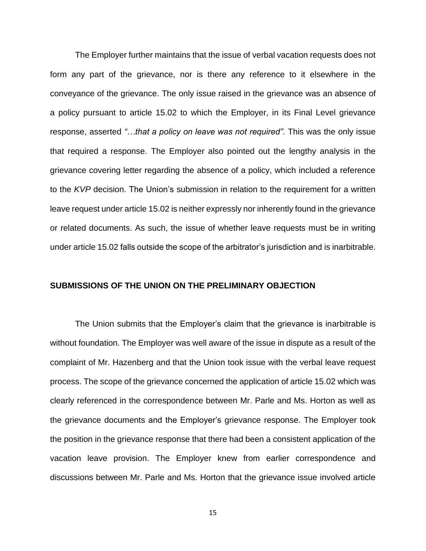The Employer further maintains that the issue of verbal vacation requests does not form any part of the grievance, nor is there any reference to it elsewhere in the conveyance of the grievance. The only issue raised in the grievance was an absence of a policy pursuant to article 15.02 to which the Employer, in its Final Level grievance response, asserted *"…that a policy on leave was not required".* This was the only issue that required a response. The Employer also pointed out the lengthy analysis in the grievance covering letter regarding the absence of a policy, which included a reference to the *KVP* decision. The Union's submission in relation to the requirement for a written leave request under article 15.02 is neither expressly nor inherently found in the grievance or related documents. As such, the issue of whether leave requests must be in writing under article 15.02 falls outside the scope of the arbitrator's jurisdiction and is inarbitrable.

### **SUBMISSIONS OF THE UNION ON THE PRELIMINARY OBJECTION**

The Union submits that the Employer's claim that the grievance is inarbitrable is without foundation. The Employer was well aware of the issue in dispute as a result of the complaint of Mr. Hazenberg and that the Union took issue with the verbal leave request process. The scope of the grievance concerned the application of article 15.02 which was clearly referenced in the correspondence between Mr. Parle and Ms. Horton as well as the grievance documents and the Employer's grievance response. The Employer took the position in the grievance response that there had been a consistent application of the vacation leave provision. The Employer knew from earlier correspondence and discussions between Mr. Parle and Ms. Horton that the grievance issue involved article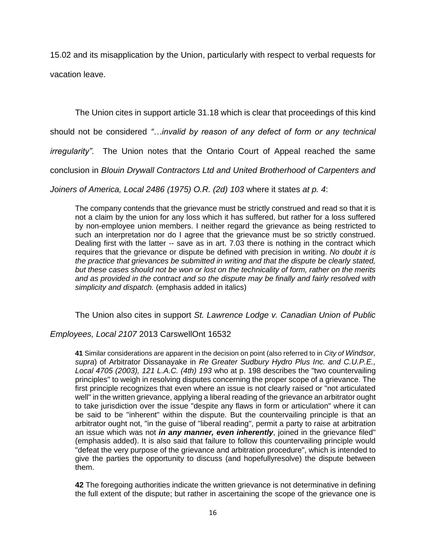15.02 and its misapplication by the Union, particularly with respect to verbal requests for vacation leave.

The Union cites in support article 31.18 which is clear that proceedings of this kind

should not be considered *"…invalid by reason of any defect of form or any technical* 

*irregularity".* The Union notes that the Ontario Court of Appeal reached the same

conclusion in *Blouin Drywall Contractors Ltd and United Brotherhood of Carpenters and* 

*Joiners of America, Local 2486 (1975) O.R. (2d) 103* where it states *at p. 4*:

The company contends that the grievance must be strictly construed and read so that it is not a claim by the union for any loss which it has suffered, but rather for a loss suffered by non-employee union members. I neither regard the grievance as being restricted to such an interpretation nor do I agree that the grievance must be so strictly construed. Dealing first with the latter -- save as in art. 7.03 there is nothing in the contract which requires that the grievance or dispute be defined with precision in writing. *No doubt it is the practice that grievances be submitted in writing and that the dispute be clearly stated, but these cases should not be won or lost on the technicality of form, rather on the merits and as provided in the contract and so the dispute may be finally and fairly resolved with simplicity and dispatch.* (emphasis added in italics)

The Union also cites in support *St. Lawrence Lodge v. Canadian Union of Public* 

*Employees, Local 2107* 2013 CarswellOnt 16532

**41** Similar considerations are apparent in the decision on point (also referred to in *City of Windsor, supra*) of Arbitrator Dissanayake in *Re Greater Sudbury Hydro Plus Inc. and C.U.P.E., Local 4705 (2003), 121 L.A.C. (4th) 193* who at p. 198 describes the "two countervailing principles" to weigh in resolving disputes concerning the proper scope of a grievance. The first principle recognizes that even where an issue is not clearly raised or "not articulated well" in the written grievance, applying a liberal reading of the grievance an arbitrator ought to take jurisdiction over the issue "despite any flaws in form or articulation" where it can be said to be "inherent" within the dispute. But the countervailing principle is that an arbitrator ought not, "in the guise of "liberal reading", permit a party to raise at arbitration an issue which was not *in any manner, even inherently*, joined in the grievance filed" (emphasis added). It is also said that failure to follow this countervailing principle would "defeat the very purpose of the grievance and arbitration procedure", which is intended to give the parties the opportunity to discuss (and hopefullyresolve) the dispute between them.

**42** The foregoing authorities indicate the written grievance is not determinative in defining the full extent of the dispute; but rather in ascertaining the scope of the grievance one is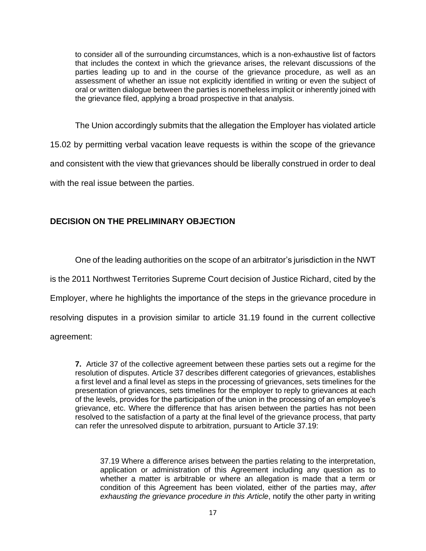to consider all of the surrounding circumstances, which is a non-exhaustive list of factors that includes the context in which the grievance arises, the relevant discussions of the parties leading up to and in the course of the grievance procedure, as well as an assessment of whether an issue not explicitly identified in writing or even the subject of oral or written dialogue between the parties is nonetheless implicit or inherently joined with the grievance filed, applying a broad prospective in that analysis.

The Union accordingly submits that the allegation the Employer has violated article 15.02 by permitting verbal vacation leave requests is within the scope of the grievance and consistent with the view that grievances should be liberally construed in order to deal with the real issue between the parties.

## **DECISION ON THE PRELIMINARY OBJECTION**

One of the leading authorities on the scope of an arbitrator's jurisdiction in the NWT is the 2011 Northwest Territories Supreme Court decision of Justice Richard, cited by the Employer, where he highlights the importance of the steps in the grievance procedure in resolving disputes in a provision similar to article 31.19 found in the current collective agreement:

**7.** Article 37 of the collective agreement between these parties sets out a regime for the resolution of disputes. Article 37 describes different categories of grievances, establishes a first level and a final level as steps in the processing of grievances, sets timelines for the presentation of grievances, sets timelines for the employer to reply to grievances at each of the levels, provides for the participation of the union in the processing of an employee's grievance, etc. Where the difference that has arisen between the parties has not been resolved to the satisfaction of a party at the final level of the grievance process, that party can refer the unresolved dispute to arbitration, pursuant to Article 37.19:

37.19 Where a difference arises between the parties relating to the interpretation, application or administration of this Agreement including any question as to whether a matter is arbitrable or where an allegation is made that a term or condition of this Agreement has been violated, either of the parties may, *after exhausting the grievance procedure in this Article*, notify the other party in writing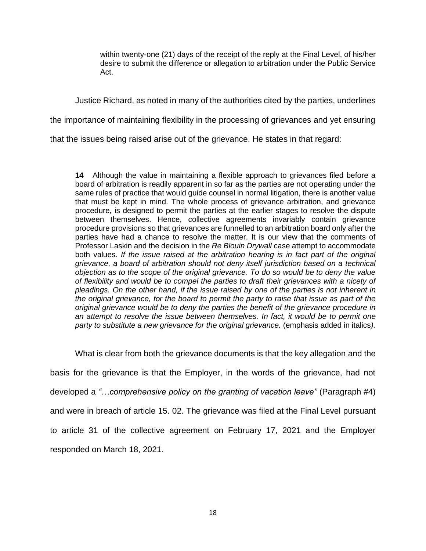within twenty-one (21) days of the receipt of the reply at the Final Level, of his/her desire to submit the difference or allegation to arbitration under the Public Service Act.

Justice Richard, as noted in many of the authorities cited by the parties, underlines

the importance of maintaining flexibility in the processing of grievances and yet ensuring

that the issues being raised arise out of the grievance. He states in that regard:

**14** Although the value in maintaining a flexible approach to grievances filed before a board of arbitration is readily apparent in so far as the parties are not operating under the same rules of practice that would guide counsel in normal litigation, there is another value that must be kept in mind. The whole process of grievance arbitration, and grievance procedure, is designed to permit the parties at the earlier stages to resolve the dispute between themselves. Hence, collective agreements invariably contain grievance procedure provisions so that grievances are funnelled to an arbitration board only after the parties have had a chance to resolve the matter. It is our view that the comments of Professor Laskin and the decision in the *Re Blouin Drywall* case attempt to accommodate both values. If the issue raised at the arbitration hearing is in fact part of the original *grievance, a board of arbitration should not deny itself jurisdiction based on a technical objection as to the scope of the original grievance. To do so would be to deny the value of flexibility and would be to compel the parties to draft their grievances with a nicety of pleadings. On the other hand, if the issue raised by one of the parties is not inherent in the original grievance, for the board to permit the party to raise that issue as part of the original grievance would be to deny the parties the benefit of the grievance procedure in*  an attempt to resolve the issue between themselves. In fact, it would be to permit one *party to substitute a new grievance for the original grievance.* (emphasis added in italics*).*

What is clear from both the grievance documents is that the key allegation and the basis for the grievance is that the Employer, in the words of the grievance, had not developed a *"…comprehensive policy on the granting of vacation leave"* (Paragraph #4) and were in breach of article 15. 02. The grievance was filed at the Final Level pursuant to article 31 of the collective agreement on February 17, 2021 and the Employer responded on March 18, 2021.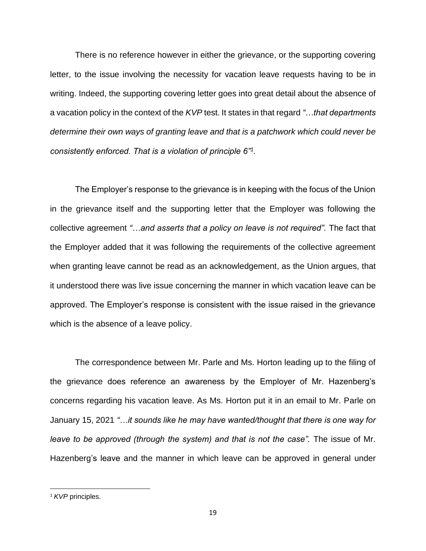There is no reference however in either the grievance, or the supporting covering letter, to the issue involving the necessity for vacation leave requests having to be in writing. Indeed, the supporting covering letter goes into great detail about the absence of a vacation policy in the context of the *KVP* test. It states in that regard *"…that departments determine their own ways of granting leave and that is a patchwork which could never be consistently enforced. That is a violation of principle 6"<sup>1</sup> .* 

The Employer's response to the grievance is in keeping with the focus of the Union in the grievance itself and the supporting letter that the Employer was following the collective agreement *"…and asserts that a policy on leave is not required".* The fact that the Employer added that it was following the requirements of the collective agreement when granting leave cannot be read as an acknowledgement, as the Union argues, that it understood there was live issue concerning the manner in which vacation leave can be approved. The Employer's response is consistent with the issue raised in the grievance which is the absence of a leave policy.

The correspondence between Mr. Parle and Ms. Horton leading up to the filing of the grievance does reference an awareness by the Employer of Mr. Hazenberg's concerns regarding his vacation leave. As Ms. Horton put it in an email to Mr. Parle on January 15, 2021 *"…it sounds like he may have wanted/thought that there is one way for leave to be approved (through the system) and that is not the case"*. The issue of Mr. Hazenberg's leave and the manner in which leave can be approved in general under

<sup>1</sup> *KVP* principles.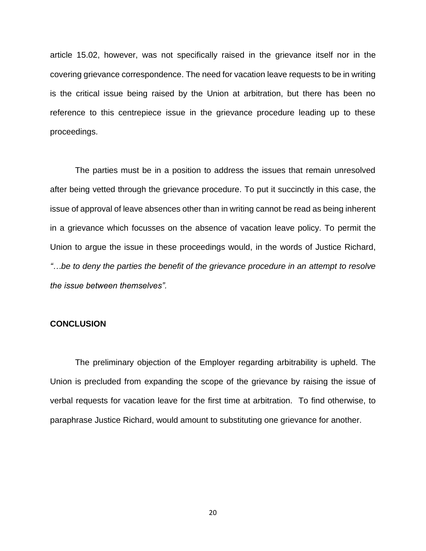article 15.02, however, was not specifically raised in the grievance itself nor in the covering grievance correspondence. The need for vacation leave requests to be in writing is the critical issue being raised by the Union at arbitration, but there has been no reference to this centrepiece issue in the grievance procedure leading up to these proceedings.

The parties must be in a position to address the issues that remain unresolved after being vetted through the grievance procedure. To put it succinctly in this case, the issue of approval of leave absences other than in writing cannot be read as being inherent in a grievance which focusses on the absence of vacation leave policy. To permit the Union to argue the issue in these proceedings would, in the words of Justice Richard, *"…be to deny the parties the benefit of the grievance procedure in an attempt to resolve the issue between themselves".*

## **CONCLUSION**

The preliminary objection of the Employer regarding arbitrability is upheld. The Union is precluded from expanding the scope of the grievance by raising the issue of verbal requests for vacation leave for the first time at arbitration. To find otherwise, to paraphrase Justice Richard, would amount to substituting one grievance for another.